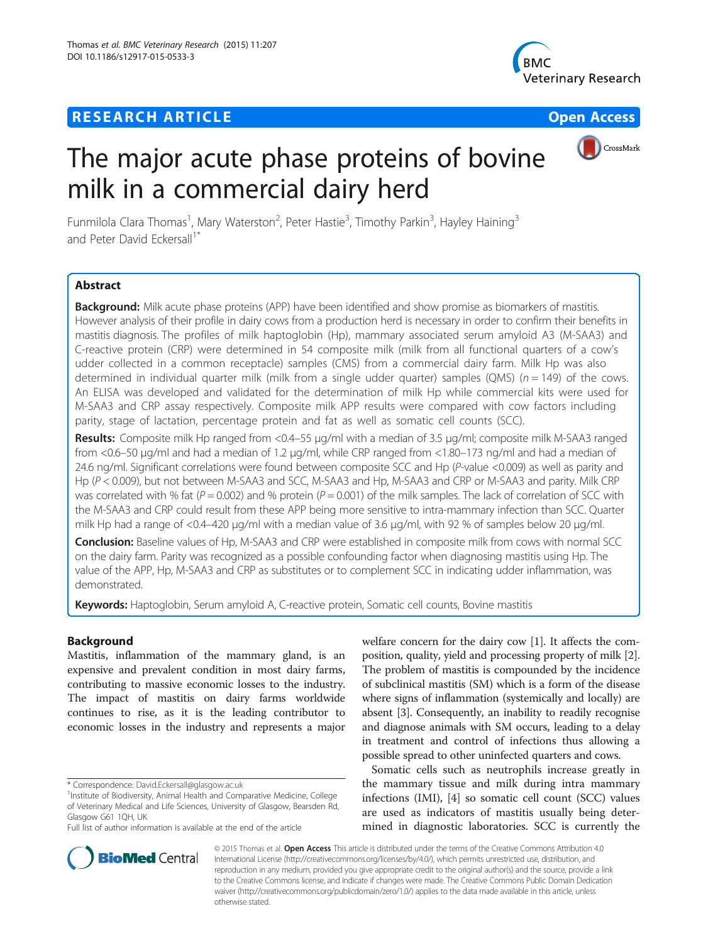# **RESEARCH ARTICLE Example 2014 12:30 THE Open Access**



CrossMark

# The major acute phase proteins of bovine milk in a commercial dairy herd

Funmilola Clara Thomas<sup>1</sup>, Mary Waterston<sup>2</sup>, Peter Hastie<sup>3</sup>, Timothy Parkin<sup>3</sup>, Hayley Haining<sup>3</sup> and Peter David Eckersall<sup>1\*</sup>

# **Abstract**

Background: Milk acute phase proteins (APP) have been identified and show promise as biomarkers of mastitis. However analysis of their profile in dairy cows from a production herd is necessary in order to confirm their benefits in mastitis diagnosis. The profiles of milk haptoglobin (Hp), mammary associated serum amyloid A3 (M-SAA3) and C-reactive protein (CRP) were determined in 54 composite milk (milk from all functional quarters of a cow's udder collected in a common receptacle) samples (CMS) from a commercial dairy farm. Milk Hp was also determined in individual quarter milk (milk from a single udder quarter) samples (QMS) ( $n = 149$ ) of the cows. An ELISA was developed and validated for the determination of milk Hp while commercial kits were used for M-SAA3 and CRP assay respectively. Composite milk APP results were compared with cow factors including parity, stage of lactation, percentage protein and fat as well as somatic cell counts (SCC).

Results: Composite milk Hp ranged from <0.4–55 μg/ml with a median of 3.5 μg/ml; composite milk M-SAA3 ranged from <0.6–50 μg/ml and had a median of 1.2 μg/ml, while CRP ranged from <1.80–173 ng/ml and had a median of 24.6 ng/ml. Significant correlations were found between composite SCC and Hp (P-value <0.009) as well as parity and Hp (P < 0.009), but not between M-SAA3 and SCC, M-SAA3 and Hp, M-SAA3 and CRP or M-SAA3 and parity. Milk CRP was correlated with % fat ( $P = 0.002$ ) and % protein ( $P = 0.001$ ) of the milk samples. The lack of correlation of SCC with the M-SAA3 and CRP could result from these APP being more sensitive to intra-mammary infection than SCC. Quarter milk Hp had a range of <0.4–420 μg/ml with a median value of 3.6 μg/ml, with 92 % of samples below 20 μg/ml.

Conclusion: Baseline values of Hp, M-SAA3 and CRP were established in composite milk from cows with normal SCC on the dairy farm. Parity was recognized as a possible confounding factor when diagnosing mastitis using Hp. The value of the APP, Hp, M-SAA3 and CRP as substitutes or to complement SCC in indicating udder inflammation, was demonstrated.

Keywords: Haptoglobin, Serum amyloid A, C-reactive protein, Somatic cell counts, Bovine mastitis

# Background

Mastitis, inflammation of the mammary gland, is an expensive and prevalent condition in most dairy farms, contributing to massive economic losses to the industry. The impact of mastitis on dairy farms worldwide continues to rise, as it is the leading contributor to economic losses in the industry and represents a major

welfare concern for the dairy cow [\[1](#page-8-0)]. It affects the composition, quality, yield and processing property of milk [[2](#page-8-0)]. The problem of mastitis is compounded by the incidence of subclinical mastitis (SM) which is a form of the disease where signs of inflammation (systemically and locally) are absent [\[3\]](#page-8-0). Consequently, an inability to readily recognise and diagnose animals with SM occurs, leading to a delay in treatment and control of infections thus allowing a possible spread to other uninfected quarters and cows.

Somatic cells such as neutrophils increase greatly in the mammary tissue and milk during intra mammary infections (IMI), [[4](#page-8-0)] so somatic cell count (SCC) values are used as indicators of mastitis usually being determined in diagnostic laboratories. SCC is currently the



© 2015 Thomas et al. Open Access This article is distributed under the terms of the Creative Commons Attribution 4.0 International License ([http://creativecommons.org/licenses/by/4.0/\)](http://creativecommons.org/licenses/by/4.0/), which permits unrestricted use, distribution, and reproduction in any medium, provided you give appropriate credit to the original author(s) and the source, provide a link to the Creative Commons license, and indicate if changes were made. The Creative Commons Public Domain Dedication waiver [\(http://creativecommons.org/publicdomain/zero/1.0/](http://creativecommons.org/publicdomain/zero/1.0/)) applies to the data made available in this article, unless otherwise stated.

<sup>\*</sup> Correspondence: [David.Eckersall@glasgow.ac.uk](mailto:David.Eckersall@glasgow.ac.uk) <sup>1</sup>

<sup>&</sup>lt;sup>1</sup> Institute of Biodiversity, Animal Health and Comparative Medicine, College of Veterinary Medical and Life Sciences, University of Glasgow, Bearsden Rd, Glasgow G61 1QH, UK

Full list of author information is available at the end of the article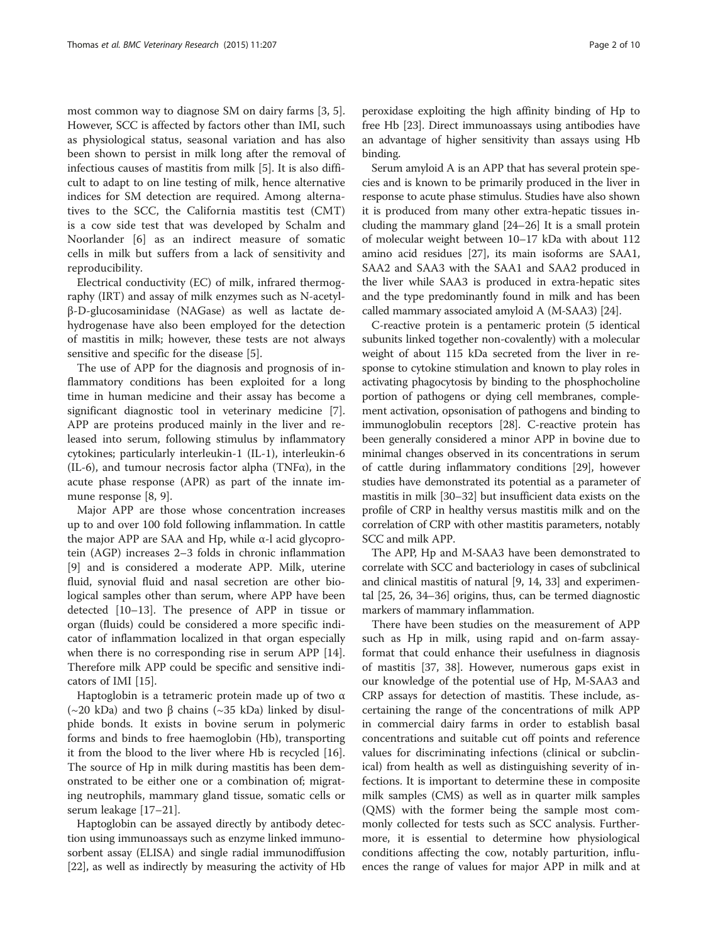most common way to diagnose SM on dairy farms [\[3](#page-8-0), [5](#page-8-0)]. However, SCC is affected by factors other than IMI, such as physiological status, seasonal variation and has also been shown to persist in milk long after the removal of infectious causes of mastitis from milk [[5](#page-8-0)]. It is also difficult to adapt to on line testing of milk, hence alternative indices for SM detection are required. Among alternatives to the SCC, the California mastitis test (CMT) is a cow side test that was developed by Schalm and Noorlander [[6\]](#page-8-0) as an indirect measure of somatic cells in milk but suffers from a lack of sensitivity and reproducibility.

Electrical conductivity (EC) of milk, infrared thermography (IRT) and assay of milk enzymes such as N-acetylβ-D-glucosaminidase (NAGase) as well as lactate dehydrogenase have also been employed for the detection of mastitis in milk; however, these tests are not always sensitive and specific for the disease [[5](#page-8-0)].

The use of APP for the diagnosis and prognosis of inflammatory conditions has been exploited for a long time in human medicine and their assay has become a significant diagnostic tool in veterinary medicine [\[7](#page-8-0)]. APP are proteins produced mainly in the liver and released into serum, following stimulus by inflammatory cytokines; particularly interleukin-1 (IL-1), interleukin-6 (IL-6), and tumour necrosis factor alpha (TNF $\alpha$ ), in the acute phase response (APR) as part of the innate immune response [[8, 9\]](#page-8-0).

Major APP are those whose concentration increases up to and over 100 fold following inflammation. In cattle the major APP are SAA and Hp, while α-l acid glycoprotein (AGP) increases 2–3 folds in chronic inflammation [[9\]](#page-8-0) and is considered a moderate APP. Milk, uterine fluid, synovial fluid and nasal secretion are other biological samples other than serum, where APP have been detected [\[10](#page-8-0)–[13\]](#page-9-0). The presence of APP in tissue or organ (fluids) could be considered a more specific indicator of inflammation localized in that organ especially when there is no corresponding rise in serum APP [\[14](#page-9-0)]. Therefore milk APP could be specific and sensitive indicators of IMI [[15\]](#page-9-0).

Haptoglobin is a tetrameric protein made up of two  $\alpha$ (~20 kDa) and two β chains (~35 kDa) linked by disulphide bonds. It exists in bovine serum in polymeric forms and binds to free haemoglobin (Hb), transporting it from the blood to the liver where Hb is recycled [\[16](#page-9-0)]. The source of Hp in milk during mastitis has been demonstrated to be either one or a combination of; migrating neutrophils, mammary gland tissue, somatic cells or serum leakage [[17](#page-9-0)–[21](#page-9-0)].

Haptoglobin can be assayed directly by antibody detection using immunoassays such as enzyme linked immunosorbent assay (ELISA) and single radial immunodiffusion [[22](#page-9-0)], as well as indirectly by measuring the activity of Hb peroxidase exploiting the high affinity binding of Hp to free Hb [\[23](#page-9-0)]. Direct immunoassays using antibodies have an advantage of higher sensitivity than assays using Hb binding.

Serum amyloid A is an APP that has several protein species and is known to be primarily produced in the liver in response to acute phase stimulus. Studies have also shown it is produced from many other extra-hepatic tissues including the mammary gland [\[24](#page-9-0)–[26](#page-9-0)] It is a small protein of molecular weight between 10–17 kDa with about 112 amino acid residues [[27](#page-9-0)], its main isoforms are SAA1, SAA2 and SAA3 with the SAA1 and SAA2 produced in the liver while SAA3 is produced in extra-hepatic sites and the type predominantly found in milk and has been called mammary associated amyloid A (M-SAA3) [\[24\]](#page-9-0).

C-reactive protein is a pentameric protein (5 identical subunits linked together non-covalently) with a molecular weight of about 115 kDa secreted from the liver in response to cytokine stimulation and known to play roles in activating phagocytosis by binding to the phosphocholine portion of pathogens or dying cell membranes, complement activation, opsonisation of pathogens and binding to immunoglobulin receptors [\[28\]](#page-9-0). C-reactive protein has been generally considered a minor APP in bovine due to minimal changes observed in its concentrations in serum of cattle during inflammatory conditions [[29](#page-9-0)], however studies have demonstrated its potential as a parameter of mastitis in milk [\[30](#page-9-0)–[32](#page-9-0)] but insufficient data exists on the profile of CRP in healthy versus mastitis milk and on the correlation of CRP with other mastitis parameters, notably SCC and milk APP.

The APP, Hp and M-SAA3 have been demonstrated to correlate with SCC and bacteriology in cases of subclinical and clinical mastitis of natural [[9,](#page-8-0) [14, 33\]](#page-9-0) and experimental [[25](#page-9-0), [26](#page-9-0), [34](#page-9-0)–[36\]](#page-9-0) origins, thus, can be termed diagnostic markers of mammary inflammation.

There have been studies on the measurement of APP such as Hp in milk, using rapid and on-farm assayformat that could enhance their usefulness in diagnosis of mastitis [[37](#page-9-0), [38](#page-9-0)]. However, numerous gaps exist in our knowledge of the potential use of Hp, M-SAA3 and CRP assays for detection of mastitis. These include, ascertaining the range of the concentrations of milk APP in commercial dairy farms in order to establish basal concentrations and suitable cut off points and reference values for discriminating infections (clinical or subclinical) from health as well as distinguishing severity of infections. It is important to determine these in composite milk samples (CMS) as well as in quarter milk samples (QMS) with the former being the sample most commonly collected for tests such as SCC analysis. Furthermore, it is essential to determine how physiological conditions affecting the cow, notably parturition, influences the range of values for major APP in milk and at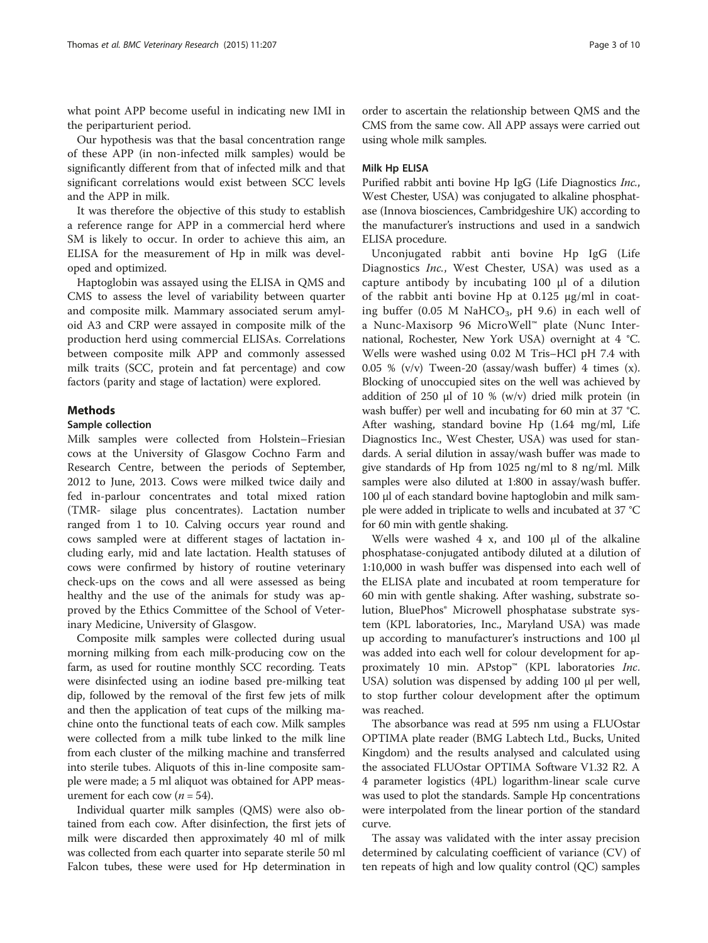what point APP become useful in indicating new IMI in the periparturient period.

Our hypothesis was that the basal concentration range of these APP (in non-infected milk samples) would be significantly different from that of infected milk and that significant correlations would exist between SCC levels and the APP in milk.

It was therefore the objective of this study to establish a reference range for APP in a commercial herd where SM is likely to occur. In order to achieve this aim, an ELISA for the measurement of Hp in milk was developed and optimized.

Haptoglobin was assayed using the ELISA in QMS and CMS to assess the level of variability between quarter and composite milk. Mammary associated serum amyloid A3 and CRP were assayed in composite milk of the production herd using commercial ELISAs. Correlations between composite milk APP and commonly assessed milk traits (SCC, protein and fat percentage) and cow factors (parity and stage of lactation) were explored.

## Methods

#### Sample collection

Milk samples were collected from Holstein–Friesian cows at the University of Glasgow Cochno Farm and Research Centre, between the periods of September, 2012 to June, 2013. Cows were milked twice daily and fed in-parlour concentrates and total mixed ration (TMR- silage plus concentrates). Lactation number ranged from 1 to 10. Calving occurs year round and cows sampled were at different stages of lactation including early, mid and late lactation. Health statuses of cows were confirmed by history of routine veterinary check-ups on the cows and all were assessed as being healthy and the use of the animals for study was approved by the Ethics Committee of the School of Veterinary Medicine, University of Glasgow.

Composite milk samples were collected during usual morning milking from each milk-producing cow on the farm, as used for routine monthly SCC recording. Teats were disinfected using an iodine based pre-milking teat dip, followed by the removal of the first few jets of milk and then the application of teat cups of the milking machine onto the functional teats of each cow. Milk samples were collected from a milk tube linked to the milk line from each cluster of the milking machine and transferred into sterile tubes. Aliquots of this in-line composite sample were made; a 5 ml aliquot was obtained for APP measurement for each cow  $(n = 54)$ .

Individual quarter milk samples (QMS) were also obtained from each cow. After disinfection, the first jets of milk were discarded then approximately 40 ml of milk was collected from each quarter into separate sterile 50 ml Falcon tubes, these were used for Hp determination in

order to ascertain the relationship between QMS and the CMS from the same cow. All APP assays were carried out using whole milk samples.

#### Milk Hp ELISA

Purified rabbit anti bovine Hp IgG (Life Diagnostics Inc., West Chester, USA) was conjugated to alkaline phosphatase (Innova biosciences, Cambridgeshire UK) according to the manufacturer's instructions and used in a sandwich ELISA procedure.

Unconjugated rabbit anti bovine Hp IgG (Life Diagnostics Inc., West Chester, USA) was used as a capture antibody by incubating 100 μl of a dilution of the rabbit anti bovine Hp at 0.125 μg/ml in coating buffer (0.05 M NaHCO<sub>3</sub>, pH 9.6) in each well of a Nunc-Maxisorp 96 MicroWell™ plate (Nunc International, Rochester, New York USA) overnight at 4 °C. Wells were washed using 0.02 M Tris–HCl pH 7.4 with 0.05 % (v/v) Tween-20 (assay/wash buffer) 4 times (x). Blocking of unoccupied sites on the well was achieved by addition of 250 μl of 10 % (w/v) dried milk protein (in wash buffer) per well and incubating for 60 min at 37 °C. After washing, standard bovine Hp (1.64 mg/ml, Life Diagnostics Inc., West Chester, USA) was used for standards. A serial dilution in assay/wash buffer was made to give standards of Hp from 1025 ng/ml to 8 ng/ml. Milk samples were also diluted at 1:800 in assay/wash buffer. 100 μl of each standard bovine haptoglobin and milk sample were added in triplicate to wells and incubated at 37 °C for 60 min with gentle shaking.

Wells were washed 4 x, and 100 μl of the alkaline phosphatase-conjugated antibody diluted at a dilution of 1:10,000 in wash buffer was dispensed into each well of the ELISA plate and incubated at room temperature for 60 min with gentle shaking. After washing, substrate solution, BluePhos® Microwell phosphatase substrate system (KPL laboratories, Inc., Maryland USA) was made up according to manufacturer's instructions and 100 μl was added into each well for colour development for approximately 10 min. APstop<sup>™</sup> (KPL laboratories Inc. USA) solution was dispensed by adding 100 μl per well, to stop further colour development after the optimum was reached.

The absorbance was read at 595 nm using a FLUOstar OPTIMA plate reader (BMG Labtech Ltd., Bucks, United Kingdom) and the results analysed and calculated using the associated FLUOstar OPTIMA Software V1.32 R2. A 4 parameter logistics (4PL) logarithm-linear scale curve was used to plot the standards. Sample Hp concentrations were interpolated from the linear portion of the standard curve.

The assay was validated with the inter assay precision determined by calculating coefficient of variance (CV) of ten repeats of high and low quality control (QC) samples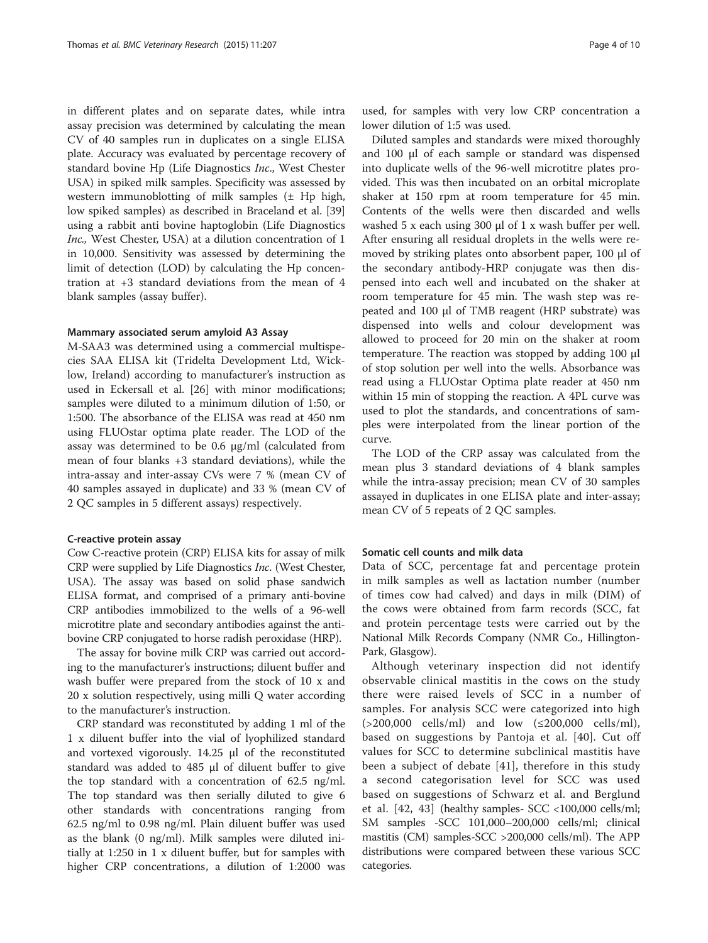in different plates and on separate dates, while intra assay precision was determined by calculating the mean CV of 40 samples run in duplicates on a single ELISA plate. Accuracy was evaluated by percentage recovery of standard bovine Hp (Life Diagnostics Inc., West Chester USA) in spiked milk samples. Specificity was assessed by western immunoblotting of milk samples (± Hp high, low spiked samples) as described in Braceland et al. [[39](#page-9-0)] using a rabbit anti bovine haptoglobin (Life Diagnostics Inc., West Chester, USA) at a dilution concentration of 1 in 10,000. Sensitivity was assessed by determining the limit of detection (LOD) by calculating the Hp concentration at +3 standard deviations from the mean of 4 blank samples (assay buffer).

#### Mammary associated serum amyloid A3 Assay

M-SAA3 was determined using a commercial multispecies SAA ELISA kit (Tridelta Development Ltd, Wicklow, Ireland) according to manufacturer's instruction as used in Eckersall et al. [\[26\]](#page-9-0) with minor modifications; samples were diluted to a minimum dilution of 1:50, or 1:500. The absorbance of the ELISA was read at 450 nm using FLUOstar optima plate reader. The LOD of the assay was determined to be 0.6 μg/ml (calculated from mean of four blanks +3 standard deviations), while the intra-assay and inter-assay CVs were 7 % (mean CV of 40 samples assayed in duplicate) and 33 % (mean CV of 2 QC samples in 5 different assays) respectively.

#### C-reactive protein assay

Cow C-reactive protein (CRP) ELISA kits for assay of milk CRP were supplied by Life Diagnostics Inc. (West Chester, USA). The assay was based on solid phase sandwich ELISA format, and comprised of a primary anti-bovine CRP antibodies immobilized to the wells of a 96-well microtitre plate and secondary antibodies against the antibovine CRP conjugated to horse radish peroxidase (HRP).

The assay for bovine milk CRP was carried out according to the manufacturer's instructions; diluent buffer and wash buffer were prepared from the stock of 10 x and 20 x solution respectively, using milli Q water according to the manufacturer's instruction.

CRP standard was reconstituted by adding 1 ml of the 1 x diluent buffer into the vial of lyophilized standard and vortexed vigorously. 14.25 μl of the reconstituted standard was added to 485 μl of diluent buffer to give the top standard with a concentration of 62.5 ng/ml. The top standard was then serially diluted to give 6 other standards with concentrations ranging from 62.5 ng/ml to 0.98 ng/ml. Plain diluent buffer was used as the blank (0 ng/ml). Milk samples were diluted initially at 1:250 in 1 x diluent buffer, but for samples with higher CRP concentrations, a dilution of 1:2000 was

used, for samples with very low CRP concentration a lower dilution of 1:5 was used.

Diluted samples and standards were mixed thoroughly and 100 μl of each sample or standard was dispensed into duplicate wells of the 96-well microtitre plates provided. This was then incubated on an orbital microplate shaker at 150 rpm at room temperature for 45 min. Contents of the wells were then discarded and wells washed 5 x each using 300 μl of 1 x wash buffer per well. After ensuring all residual droplets in the wells were removed by striking plates onto absorbent paper, 100 μl of the secondary antibody-HRP conjugate was then dispensed into each well and incubated on the shaker at room temperature for 45 min. The wash step was repeated and 100 μl of TMB reagent (HRP substrate) was dispensed into wells and colour development was allowed to proceed for 20 min on the shaker at room temperature. The reaction was stopped by adding 100 μl of stop solution per well into the wells. Absorbance was read using a FLUOstar Optima plate reader at 450 nm within 15 min of stopping the reaction. A 4PL curve was used to plot the standards, and concentrations of samples were interpolated from the linear portion of the curve.

The LOD of the CRP assay was calculated from the mean plus 3 standard deviations of 4 blank samples while the intra-assay precision; mean CV of 30 samples assayed in duplicates in one ELISA plate and inter-assay; mean CV of 5 repeats of 2 QC samples.

## Somatic cell counts and milk data

Data of SCC, percentage fat and percentage protein in milk samples as well as lactation number (number of times cow had calved) and days in milk (DIM) of the cows were obtained from farm records (SCC, fat and protein percentage tests were carried out by the National Milk Records Company (NMR Co., Hillington-Park, Glasgow).

Although veterinary inspection did not identify observable clinical mastitis in the cows on the study there were raised levels of SCC in a number of samples. For analysis SCC were categorized into high (>200,000 cells/ml) and low (≤200,000 cells/ml), based on suggestions by Pantoja et al. [[40\]](#page-9-0). Cut off values for SCC to determine subclinical mastitis have been a subject of debate [\[41\]](#page-9-0), therefore in this study a second categorisation level for SCC was used based on suggestions of Schwarz et al. and Berglund et al. [[42](#page-9-0), [43](#page-9-0)] (healthy samples- SCC <100,000 cells/ml; SM samples -SCC 101,000–200,000 cells/ml; clinical mastitis (CM) samples-SCC >200,000 cells/ml). The APP distributions were compared between these various SCC categories.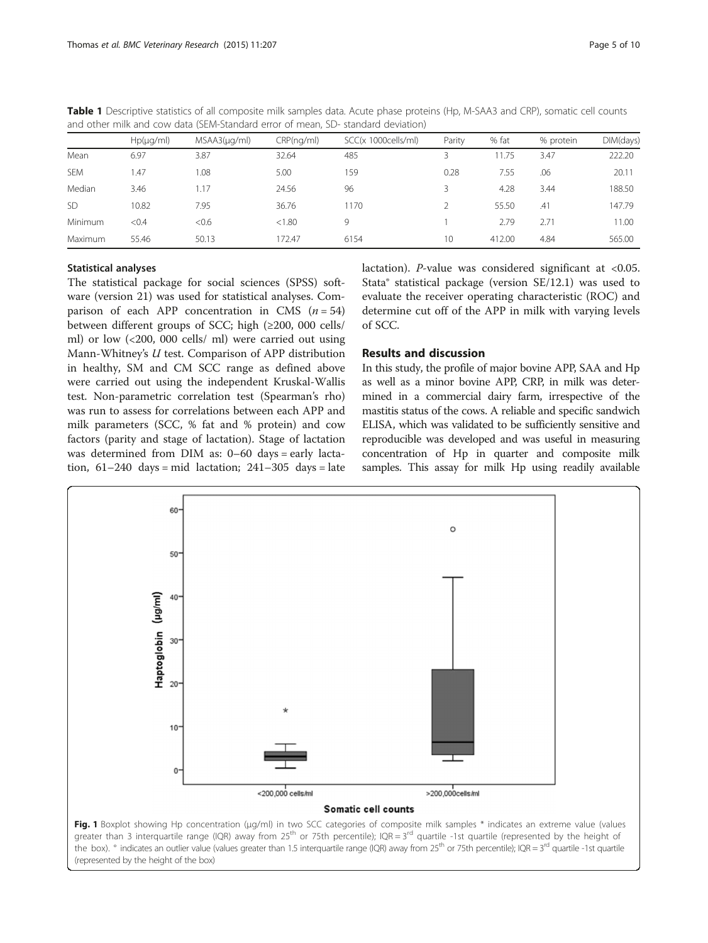|            | $Hp(\mu q/ml)$ | $MSAA3(\mu q/ml)$ | CRP(nq/ml) | SCC(x 1000cells/ml) | Parity          | % fat  | % protein | DIM(days) |  |  |
|------------|----------------|-------------------|------------|---------------------|-----------------|--------|-----------|-----------|--|--|
| Mean       | 6.97           | 3.87              | 32.64      | 485                 |                 | 11.75  | 3.47      | 222.20    |  |  |
| <b>SEM</b> | 1.47           | .08               | 5.00       | 159                 | 0.28            | 7.55   | .06       | 20.11     |  |  |
| Median     | 3.46           | .17               | 24.56      | 96                  |                 | 4.28   | 3.44      | 188.50    |  |  |
| <b>SD</b>  | 10.82          | 7.95              | 36.76      | 1170                |                 | 55.50  | .41       | 147.79    |  |  |
| Minimum    | < 0.4          | <0.6              | < 1.80     | 9                   |                 | 2.79   | 2.71      | 11.00     |  |  |
| Maximum    | 55.46          | 50.13             | 172.47     | 6154                | 10 <sup>°</sup> | 412.00 | 4.84      | 565.00    |  |  |

<span id="page-4-0"></span>Table 1 Descriptive statistics of all composite milk samples data. Acute phase proteins (Hp, M-SAA3 and CRP), somatic cell counts and other milk and cow data (SEM-Standard error of mean, SD- standard deviation)

## Statistical analyses

The statistical package for social sciences (SPSS) software (version 21) was used for statistical analyses. Comparison of each APP concentration in CMS  $(n = 54)$ between different groups of SCC; high (≥200, 000 cells/ ml) or low (<200, 000 cells/ ml) were carried out using Mann-Whitney's U test. Comparison of APP distribution in healthy, SM and CM SCC range as defined above were carried out using the independent Kruskal-Wallis test. Non-parametric correlation test (Spearman's rho) was run to assess for correlations between each APP and milk parameters (SCC, % fat and % protein) and cow factors (parity and stage of lactation). Stage of lactation was determined from DIM as: 0–60 days = early lactation,  $61-240$  days = mid lactation;  $241-305$  days = late lactation). P-value was considered significant at <0.05. Stata® statistical package (version SE/12.1) was used to evaluate the receiver operating characteristic (ROC) and determine cut off of the APP in milk with varying levels of SCC.

# Results and discussion

In this study, the profile of major bovine APP, SAA and Hp as well as a minor bovine APP, CRP, in milk was determined in a commercial dairy farm, irrespective of the mastitis status of the cows. A reliable and specific sandwich ELISA, which was validated to be sufficiently sensitive and reproducible was developed and was useful in measuring concentration of Hp in quarter and composite milk samples. This assay for milk Hp using readily available



greater than 3 interquartile range (IQR) away from 25<sup>th</sup> or 75th percentile); IQR = 3<sup>rd</sup> quartile -1st quartile (represented by the height of the box).  $\degree$  indicates an outlier value (values greater than 1.5 interquartile range (IQR) away from 25<sup>th</sup> or 75th percentile); IQR = 3<sup>rd</sup> quartile -1st quartile (represented by the height of the box)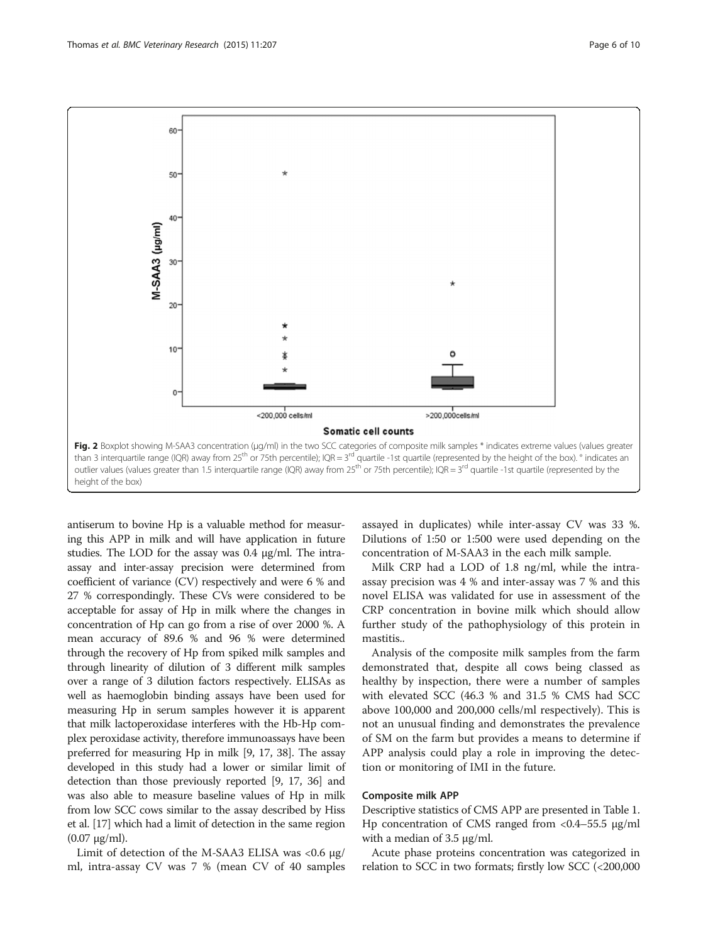<span id="page-5-0"></span>

antiserum to bovine Hp is a valuable method for measuring this APP in milk and will have application in future studies. The LOD for the assay was 0.4 μg/ml. The intraassay and inter-assay precision were determined from coefficient of variance (CV) respectively and were 6 % and 27 % correspondingly. These CVs were considered to be acceptable for assay of Hp in milk where the changes in concentration of Hp can go from a rise of over 2000 %. A mean accuracy of 89.6 % and 96 % were determined through the recovery of Hp from spiked milk samples and through linearity of dilution of 3 different milk samples over a range of 3 dilution factors respectively. ELISAs as well as haemoglobin binding assays have been used for measuring Hp in serum samples however it is apparent that milk lactoperoxidase interferes with the Hb-Hp complex peroxidase activity, therefore immunoassays have been preferred for measuring Hp in milk [\[9](#page-8-0), [17](#page-9-0), [38](#page-9-0)]. The assay developed in this study had a lower or similar limit of detection than those previously reported [\[9](#page-8-0), [17](#page-9-0), [36](#page-9-0)] and was also able to measure baseline values of Hp in milk from low SCC cows similar to the assay described by Hiss et al. [\[17](#page-9-0)] which had a limit of detection in the same region  $(0.07 \mu g/ml)$ .

Limit of detection of the M-SAA3 ELISA was  $<0.6$  μg/ ml, intra-assay CV was 7 % (mean CV of 40 samples

assayed in duplicates) while inter-assay CV was 33 %. Dilutions of 1:50 or 1:500 were used depending on the concentration of M-SAA3 in the each milk sample.

Milk CRP had a LOD of 1.8 ng/ml, while the intraassay precision was 4 % and inter-assay was 7 % and this novel ELISA was validated for use in assessment of the CRP concentration in bovine milk which should allow further study of the pathophysiology of this protein in mastitis..

Analysis of the composite milk samples from the farm demonstrated that, despite all cows being classed as healthy by inspection, there were a number of samples with elevated SCC (46.3 % and 31.5 % CMS had SCC above 100,000 and 200,000 cells/ml respectively). This is not an unusual finding and demonstrates the prevalence of SM on the farm but provides a means to determine if APP analysis could play a role in improving the detection or monitoring of IMI in the future.

## Composite milk APP

Descriptive statistics of CMS APP are presented in Table [1](#page-4-0). Hp concentration of CMS ranged from <0.4–55.5 μg/ml with a median of 3.5 μg/ml.

Acute phase proteins concentration was categorized in relation to SCC in two formats; firstly low SCC (<200,000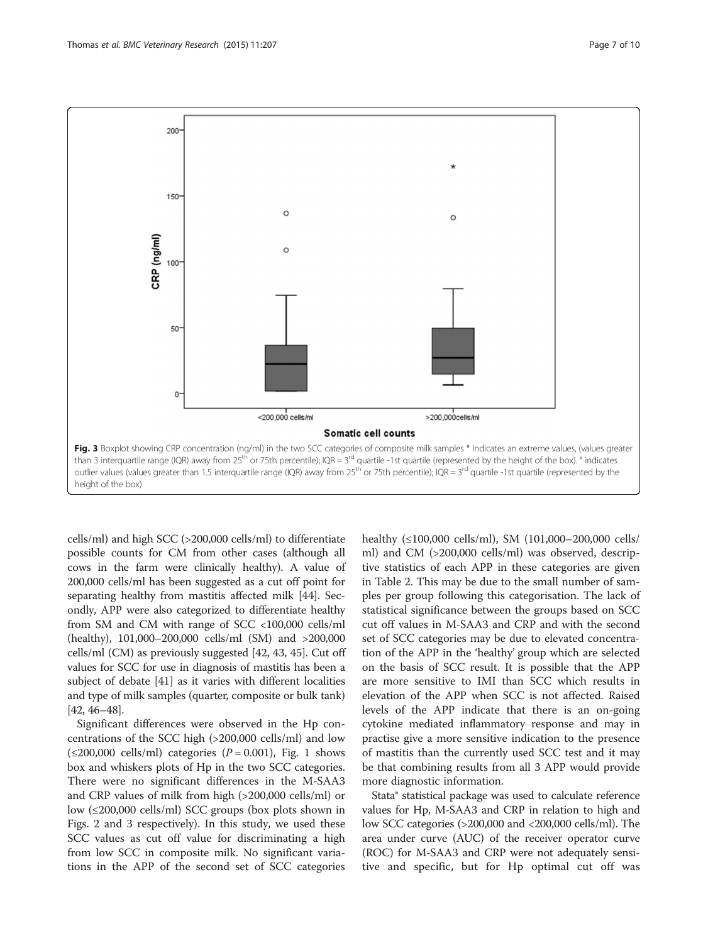

cells/ml) and high SCC (>200,000 cells/ml) to differentiate possible counts for CM from other cases (although all cows in the farm were clinically healthy). A value of 200,000 cells/ml has been suggested as a cut off point for separating healthy from mastitis affected milk [\[44](#page-9-0)]. Secondly, APP were also categorized to differentiate healthy from SM and CM with range of SCC <100,000 cells/ml (healthy), 101,000–200,000 cells/ml (SM) and >200,000 cells/ml (CM) as previously suggested [\[42, 43](#page-9-0), [45\]](#page-9-0). Cut off values for SCC for use in diagnosis of mastitis has been a subject of debate [\[41\]](#page-9-0) as it varies with different localities and type of milk samples (quarter, composite or bulk tank) [[42](#page-9-0), [46](#page-9-0)–[48](#page-9-0)].

Significant differences were observed in the Hp concentrations of the SCC high (>200,000 cells/ml) and low  $(\leq 200,000 \text{ cells/ml})$  categories  $(P = 0.001)$ , Fig. [1](#page-4-0) shows box and whiskers plots of Hp in the two SCC categories. There were no significant differences in the M-SAA3 and CRP values of milk from high (>200,000 cells/ml) or low (≤200,000 cells/ml) SCC groups (box plots shown in Figs. [2](#page-5-0) and 3 respectively). In this study, we used these SCC values as cut off value for discriminating a high from low SCC in composite milk. No significant variations in the APP of the second set of SCC categories healthy (≤100,000 cells/ml), SM (101,000–200,000 cells/ ml) and CM (>200,000 cells/ml) was observed, descriptive statistics of each APP in these categories are given in Table [2](#page-7-0). This may be due to the small number of samples per group following this categorisation. The lack of statistical significance between the groups based on SCC cut off values in M-SAA3 and CRP and with the second set of SCC categories may be due to elevated concentration of the APP in the 'healthy' group which are selected on the basis of SCC result. It is possible that the APP are more sensitive to IMI than SCC which results in elevation of the APP when SCC is not affected. Raised levels of the APP indicate that there is an on-going cytokine mediated inflammatory response and may in practise give a more sensitive indication to the presence of mastitis than the currently used SCC test and it may be that combining results from all 3 APP would provide more diagnostic information.

Stata® statistical package was used to calculate reference values for Hp, M-SAA3 and CRP in relation to high and low SCC categories (>200,000 and <200,000 cells/ml). The area under curve (AUC) of the receiver operator curve (ROC) for M-SAA3 and CRP were not adequately sensitive and specific, but for Hp optimal cut off was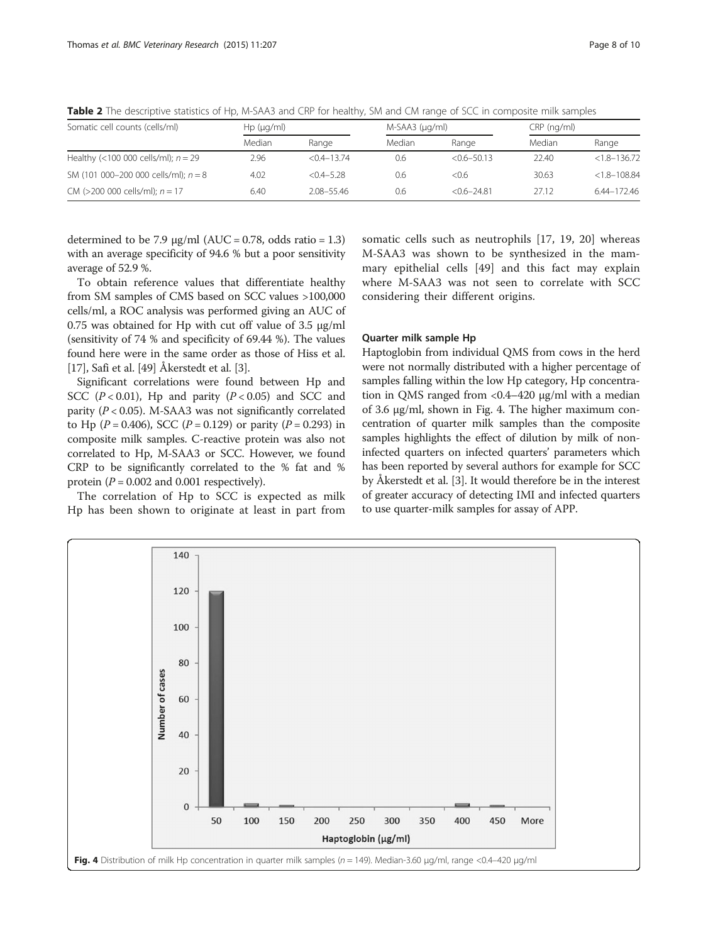| Somatic cell counts (cells/ml)         | Hp (µq/ml) |                 |        | $M-SAA3$ ( $\mu q/ml$ ) |        | CRP (ng/ml)      |  |
|----------------------------------------|------------|-----------------|--------|-------------------------|--------|------------------|--|
|                                        | Median     | Range           | Median | Range                   | Median | Range            |  |
| Healthy (<100 000 cells/ml); $n = 29$  | 2.96       | $< 0.4 - 13.74$ | 0.6    | $< 0.6 - 50.13$         | 22.40  | $< 1.8 - 136.72$ |  |
| SM (101 000-200 000 cells/ml); $n = 8$ | 4.02       | $< 0.4 - 5.28$  | 0.6    | <0.6                    | 30.63  | $< 1.8 - 108.84$ |  |
| CM (>200 000 cells/ml); $n = 17$       | 6.40       | 208-5546        | 0.6    | $< 0.6 - 24.81$         | 27.12  | 6.44-172.46      |  |

<span id="page-7-0"></span>Table 2 The descriptive statistics of Hp, M-SAA3 and CRP for healthy, SM and CM range of SCC in composite milk samples

determined to be 7.9  $\mu$ g/ml (AUC = 0.78, odds ratio = 1.3) with an average specificity of 94.6 % but a poor sensitivity average of 52.9 %.

To obtain reference values that differentiate healthy from SM samples of CMS based on SCC values >100,000 cells/ml, a ROC analysis was performed giving an AUC of 0.75 was obtained for Hp with cut off value of 3.5 μg/ml (sensitivity of 74 % and specificity of 69.44 %). The values found here were in the same order as those of Hiss et al. [[17](#page-9-0)], Safi et al. [[49\]](#page-9-0) Åkerstedt et al. [\[3](#page-8-0)].

Significant correlations were found between Hp and SCC ( $P < 0.01$ ), Hp and parity ( $P < 0.05$ ) and SCC and parity ( $P < 0.05$ ). M-SAA3 was not significantly correlated to Hp ( $P = 0.406$ ), SCC ( $P = 0.129$ ) or parity ( $P = 0.293$ ) in composite milk samples. C-reactive protein was also not correlated to Hp, M-SAA3 or SCC. However, we found CRP to be significantly correlated to the % fat and % protein  $(P = 0.002$  and 0.001 respectively).

The correlation of Hp to SCC is expected as milk Hp has been shown to originate at least in part from somatic cells such as neutrophils [[17, 19](#page-9-0), [20\]](#page-9-0) whereas M-SAA3 was shown to be synthesized in the mammary epithelial cells [[49\]](#page-9-0) and this fact may explain where M-SAA3 was not seen to correlate with SCC considering their different origins.

#### Quarter milk sample Hp

Haptoglobin from individual QMS from cows in the herd were not normally distributed with a higher percentage of samples falling within the low Hp category, Hp concentration in QMS ranged from <0.4–420 μg/ml with a median of 3.6 μg/ml, shown in Fig. 4. The higher maximum concentration of quarter milk samples than the composite samples highlights the effect of dilution by milk of noninfected quarters on infected quarters' parameters which has been reported by several authors for example for SCC by Åkerstedt et al. [\[3\]](#page-8-0). It would therefore be in the interest of greater accuracy of detecting IMI and infected quarters to use quarter-milk samples for assay of APP.

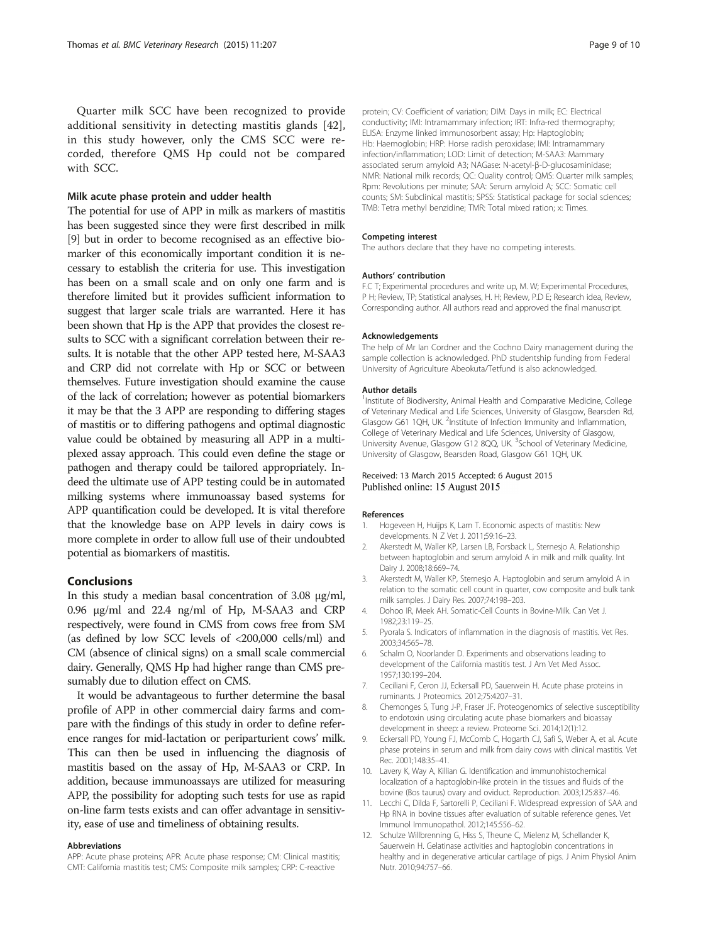<span id="page-8-0"></span>Quarter milk SCC have been recognized to provide additional sensitivity in detecting mastitis glands [\[42](#page-9-0)], in this study however, only the CMS SCC were recorded, therefore QMS Hp could not be compared with SCC.

#### Milk acute phase protein and udder health

The potential for use of APP in milk as markers of mastitis has been suggested since they were first described in milk [9] but in order to become recognised as an effective biomarker of this economically important condition it is necessary to establish the criteria for use. This investigation has been on a small scale and on only one farm and is therefore limited but it provides sufficient information to suggest that larger scale trials are warranted. Here it has been shown that Hp is the APP that provides the closest results to SCC with a significant correlation between their results. It is notable that the other APP tested here, M-SAA3 and CRP did not correlate with Hp or SCC or between themselves. Future investigation should examine the cause of the lack of correlation; however as potential biomarkers it may be that the 3 APP are responding to differing stages of mastitis or to differing pathogens and optimal diagnostic value could be obtained by measuring all APP in a multiplexed assay approach. This could even define the stage or pathogen and therapy could be tailored appropriately. Indeed the ultimate use of APP testing could be in automated milking systems where immunoassay based systems for APP quantification could be developed. It is vital therefore that the knowledge base on APP levels in dairy cows is more complete in order to allow full use of their undoubted potential as biomarkers of mastitis.

## Conclusions

In this study a median basal concentration of 3.08 μg/ml, 0.96 μg/ml and 22.4 ng/ml of Hp, M-SAA3 and CRP respectively, were found in CMS from cows free from SM (as defined by low SCC levels of <200,000 cells/ml) and CM (absence of clinical signs) on a small scale commercial dairy. Generally, QMS Hp had higher range than CMS presumably due to dilution effect on CMS.

It would be advantageous to further determine the basal profile of APP in other commercial dairy farms and compare with the findings of this study in order to define reference ranges for mid-lactation or periparturient cows' milk. This can then be used in influencing the diagnosis of mastitis based on the assay of Hp, M-SAA3 or CRP. In addition, because immunoassays are utilized for measuring APP, the possibility for adopting such tests for use as rapid on-line farm tests exists and can offer advantage in sensitivity, ease of use and timeliness of obtaining results.

#### Abbreviations

APP: Acute phase proteins; APR: Acute phase response; CM: Clinical mastitis; CMT: California mastitis test; CMS: Composite milk samples; CRP: C-reactive

protein; CV: Coefficient of variation; DIM: Days in milk; EC: Electrical conductivity; IMI: Intramammary infection; IRT: Infra-red thermography; ELISA: Enzyme linked immunosorbent assay; Hp: Haptoglobin; Hb: Haemoglobin; HRP: Horse radish peroxidase; IMI: Intramammary infection/inflammation; LOD: Limit of detection; M-SAA3: Mammary associated serum amyloid A3; NAGase: N-acetyl-β-D-glucosaminidase; NMR: National milk records; QC: Quality control; QMS: Quarter milk samples; Rpm: Revolutions per minute; SAA: Serum amyloid A; SCC: Somatic cell counts; SM: Subclinical mastitis; SPSS: Statistical package for social sciences; TMB: Tetra methyl benzidine; TMR: Total mixed ration; x: Times.

#### Competing interest

The authors declare that they have no competing interests.

#### Authors' contribution

F.C T; Experimental procedures and write up, M. W; Experimental Procedures, P H; Review, TP; Statistical analyses, H. H; Review, P.D E; Research idea, Review, Corresponding author. All authors read and approved the final manuscript.

#### Acknowledgements

The help of Mr Ian Cordner and the Cochno Dairy management during the sample collection is acknowledged. PhD studentship funding from Federal University of Agriculture Abeokuta/Tetfund is also acknowledged.

#### Author details

<sup>1</sup>Institute of Biodiversity, Animal Health and Comparative Medicine, College of Veterinary Medical and Life Sciences, University of Glasgow, Bearsden Rd, Glasgow G61 1QH, UK. <sup>2</sup>Institute of Infection Immunity and Inflammation College of Veterinary Medical and Life Sciences, University of Glasgow, University Avenue, Glasgow G12 8QQ, UK. <sup>3</sup>School of Veterinary Medicine University of Glasgow, Bearsden Road, Glasgow G61 1QH, UK.

#### Received: 13 March 2015 Accepted: 6 August 2015 Published online: 15 August 2015

#### References

- 1. Hogeveen H, Huijps K, Lam T. Economic aspects of mastitis: New developments. N Z Vet J. 2011;59:16–23.
- 2. Akerstedt M, Waller KP, Larsen LB, Forsback L, Sternesjo A. Relationship between haptoglobin and serum amyloid A in milk and milk quality. Int Dairy J. 2008;18:669–74.
- 3. Akerstedt M, Waller KP, Sternesjo A. Haptoglobin and serum amyloid A in relation to the somatic cell count in quarter, cow composite and bulk tank milk samples. J Dairy Res. 2007;74:198–203.
- 4. Dohoo IR, Meek AH. Somatic-Cell Counts in Bovine-Milk. Can Vet J. 1982;23:119–25.
- 5. Pyorala S. Indicators of inflammation in the diagnosis of mastitis. Vet Res. 2003;34:565–78.
- 6. Schalm O, Noorlander D. Experiments and observations leading to development of the California mastitis test. J Am Vet Med Assoc. 1957;130:199–204.
- 7. Ceciliani F, Ceron JJ, Eckersall PD, Sauerwein H. Acute phase proteins in ruminants. J Proteomics. 2012;75:4207–31.
- 8. Chemonges S, Tung J-P, Fraser JF. Proteogenomics of selective susceptibility to endotoxin using circulating acute phase biomarkers and bioassay development in sheep: a review. Proteome Sci. 2014;12(1):12.
- 9. Eckersall PD, Young FJ, McComb C, Hogarth CJ, Safi S, Weber A, et al. Acute phase proteins in serum and milk from dairy cows with clinical mastitis. Vet Rec. 2001;148:35–41.
- 10. Lavery K, Way A, Killian G. Identification and immunohistochemical localization of a haptoglobin-like protein in the tissues and fluids of the bovine (Bos taurus) ovary and oviduct. Reproduction. 2003;125:837–46.
- 11. Lecchi C, Dilda F, Sartorelli P, Ceciliani F. Widespread expression of SAA and Hp RNA in bovine tissues after evaluation of suitable reference genes. Vet Immunol Immunopathol. 2012;145:556–62.
- 12. Schulze Willbrenning G, Hiss S, Theune C, Mielenz M, Schellander K, Sauerwein H. Gelatinase activities and haptoglobin concentrations in healthy and in degenerative articular cartilage of pigs. J Anim Physiol Anim Nutr. 2010;94:757–66.